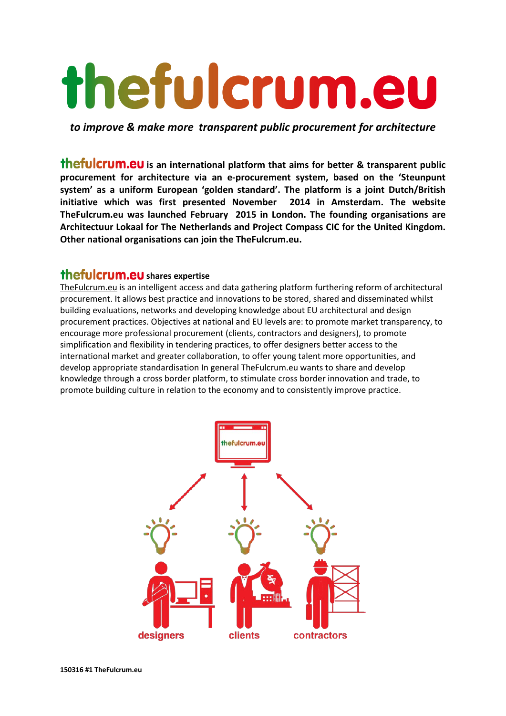# thefulcrum.eu

*to improve & make more transparent public procurement for architecture*

**thefulcrum.eu** is an international platform that aims for better & transparent public **procurement for architecture via an e-procurement system, based on the 'Steunpunt system' as a uniform European 'golden standard'. The platform is a joint Dutch/British initiative which was first presented November 2014 in Amsterdam. The website TheFulcrum.eu was launched February 2015 in London. The founding organisations are Architectuur Lokaal for The Netherlands and Project Compass CIC for the United Kingdom. Other national organisations can join the TheFulcrum.eu.**

# **shares expertise**

[TheFulcrum.eu](http://www.thefulcrum.eu/) is an intelligent access and data gathering platform furthering reform of architectural procurement. It allows best practice and innovations to be stored, shared and disseminated whilst building evaluations, networks and developing knowledge about EU architectural and design procurement practices. Objectives at national and EU levels are: to promote market transparency, to encourage more professional procurement (clients, contractors and designers), to promote simplification and flexibility in tendering practices, to offer designers better access to the international market and greater collaboration, to offer young talent more opportunities, and develop appropriate standardisation In general TheFulcrum.eu wants to share and develop knowledge through a cross border platform, to stimulate cross border innovation and trade, to promote building culture in relation to the economy and to consistently improve practice.

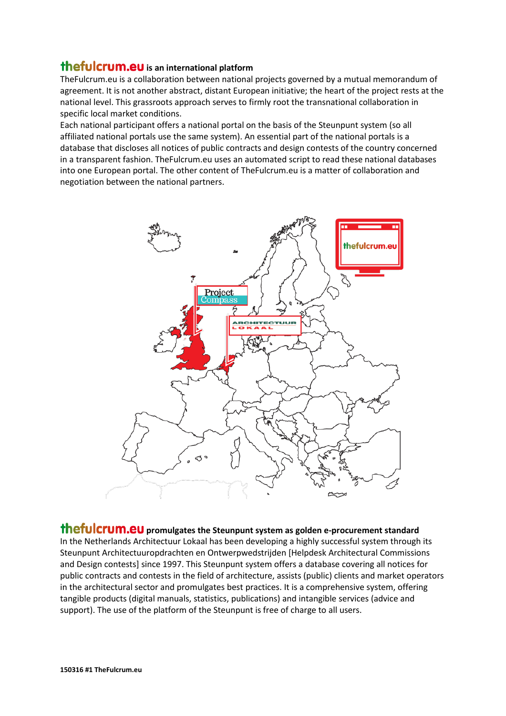## **thefulcrum.eu** is an international platform

TheFulcrum.eu is a collaboration between national projects governed by a mutual memorandum of agreement. It is not another abstract, distant European initiative; the heart of the project rests at the national level. This grassroots approach serves to firmly root the transnational collaboration in specific local market conditions.

Each national participant offers a national portal on the basis of the Steunpunt system (so all affiliated national portals use the same system). An essential part of the national portals is a database that discloses all notices of public contracts and design contests of the country concerned in a transparent fashion. TheFulcrum.eu uses an automated script to read these national databases into one European portal. The other content of TheFulcrum.eu is a matter of collaboration and negotiation between the national partners.



#### **thefulcrum.eu** promulgates the Steunpunt system as golden e-procurement standard In the Netherlands Architectuur Lokaal has been developing a highly successful system through its Steunpunt Architectuuropdrachten en Ontwerpwedstrijden [Helpdesk Architectural Commissions and Design contests] since 1997. This Steunpunt system offers a database covering all notices for public contracts and contests in the field of architecture, assists (public) clients and market operators in the architectural sector and promulgates best practices. It is a comprehensive system, offering tangible products (digital manuals, statistics, publications) and intangible services (advice and

support). The use of the platform of the Steunpunt is free of charge to all users.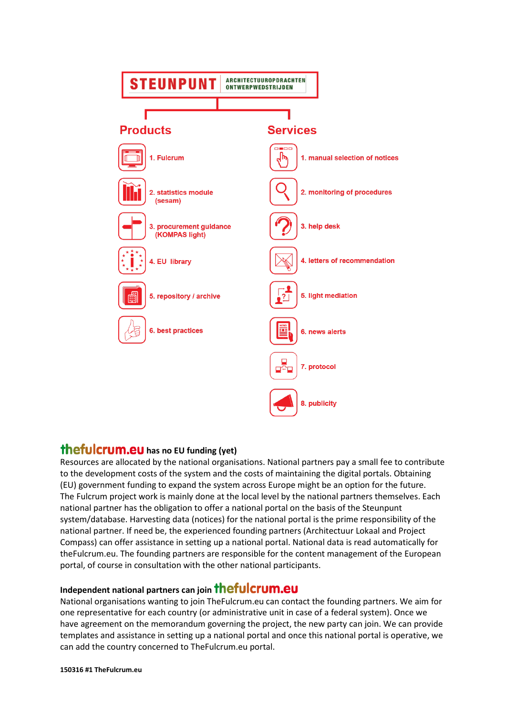

### **thefulcrum.eu** has no EU funding (yet)

Resources are allocated by the national organisations. National partners pay a small fee to contribute to the development costs of the system and the costs of maintaining the digital portals. Obtaining (EU) government funding to expand the system across Europe might be an option for the future. The Fulcrum project work is mainly done at the local level by the national partners themselves. Each national partner has the obligation to offer a national portal on the basis of the Steunpunt system/database. Harvesting data (notices) for the national portal is the prime responsibility of the national partner. If need be, the experienced founding partners (Architectuur Lokaal and Project Compass) can offer assistance in setting up a national portal. National data is read automatically for theFulcrum.eu. The founding partners are responsible for the content management of the European portal, of course in consultation with the other national participants.

## **Independent national partners can join**

National organisations wanting to join TheFulcrum.eu can contact the founding partners. We aim for one representative for each country (or administrative unit in case of a federal system). Once we have agreement on the memorandum governing the project, the new party can join. We can provide templates and assistance in setting up a national portal and once this national portal is operative, we can add the country concerned to TheFulcrum.eu portal.